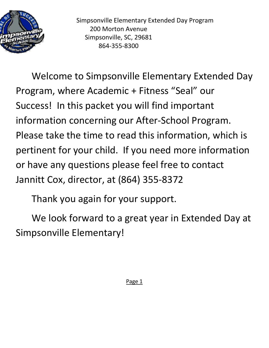

Simpsonville Elementary Extended Day Program 200 Morton Avenue Simpsonville, SC, 29681 864-355-8300

Welcome to Simpsonville Elementary Extended Day Program, where Academic + Fitness "Seal" our Success! In this packet you will find important information concerning our After-School Program. Please take the time to read this information, which is pertinent for your child. If you need more information or have any questions please feel free to contact Jannitt Cox, director, at (864) 355-8372

Thank you again for your support.

We look forward to a great year in Extended Day at Simpsonville Elementary!

Page 1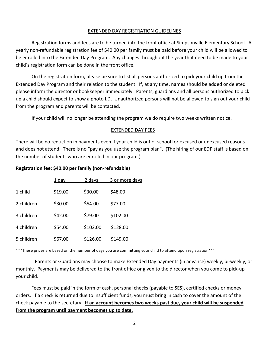# EXTENDED DAY REGISTRATION GUIDELINES

Registration forms and fees are to be turned into the front office at Simpsonville Elementary School. A yearly non-refundable registration fee of \$40.00 per family must be paid before your child will be allowed to be enrolled into the Extended Day Program. Any changes throughout the year that need to be made to your child's registration form can be done in the front office.

On the registration form, please be sure to list all persons authorized to pick your child up from the Extended Day Program and their relation to the student. If, at any time, names should be added or deleted please inform the director or bookkeeper immediately. Parents, guardians and all persons authorized to pick up a child should expect to show a photo I.D. Unauthorized persons will not be allowed to sign out your child from the program and parents will be contacted.

If your child will no longer be attending the program we do require two weeks written notice.

# EXTENDED DAY FEES

There will be no reduction in payments even if your child is out of school for excused or unexcused reasons and does not attend. There is no "pay as you use the program plan". (The hiring of our EDP staff is based on the number of students who are enrolled in our program.)

# **Registration fee: \$40.00 per family (non-refundable)**

|            | 1 day   | 2 days   | 3 or more days |
|------------|---------|----------|----------------|
| 1 child    | \$19.00 | \$30.00  | \$48.00        |
| 2 children | \$30.00 | \$54.00  | \$77.00        |
| 3 children | \$42.00 | \$79.00  | \$102.00       |
| 4 children | \$54.00 | \$102.00 | \$128.00       |
| 5 children | \$67.00 | \$126.00 | \$149.00       |

\*\*\*These prices are based on the number of days you are committing your child to attend upon registration\*\*\*

 Parents or Guardians may choose to make Extended Day payments (in advance) weekly, bi-weekly, or monthly. Payments may be delivered to the front office or given to the director when you come to pick-up your child.

 Fees must be paid in the form of cash, personal checks (payable to SES), certified checks or money orders. If a check is returned due to insufficient funds, you must bring in cash to cover the amount of the check payable to the secretary. **If an account becomes two weeks past due, your child will be suspended from the program until payment becomes up to date.**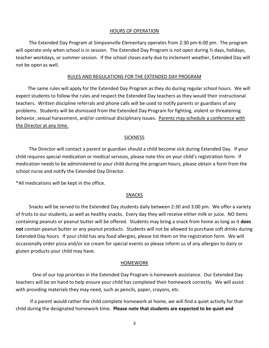## HOURS OF OPERATION

 The Extended Day Program at Simpsonville Elementary operates from 2:30 pm-6:00 pm. The program will operate only when school is in session. The Extended Day Program is not open during % days, holidays, teacher workdays, or summer session. If the school closes early due to inclement weather, Extended Day will not be open as well.

#### RULES AND REGULATIONS FOR THE EXTENDED DAY PROGRAM

 The same rules will apply for the Extended Day Program as they do during regular school hours. We will expect students to follow the rules and respect the Extended Day teachers as they would their instructional teachers. Written discipline referrals and phone calls will be used to notify parents or guardians of any problems. Students will be dismissed from the Extended Day Program for fighting, violent or threatening behavior, sexual harassment, and/or continual disciplinary issues. Parents may schedule a conference with the Director at any time.

## **SICKNESS**

 The Director will contact a parent or guardian should a child become sick during Extended Day. If your child requires special medication or medical services, please note this on your child's registration form. If medication needs to be administered to your child during the program hours, please obtain a form from the school nurse and notify the Extended Day Director.

\*All medications will be kept in the office.

## SNACKS

 Snacks will be served to the Extended Day students daily between 2:30 and 3:00 pm. We offer a variety of fruits to our students, as well as healthy snacks. Every day they will receive either milk or juice. NO items containing peanuts or peanut butter will be offered. Students may bring a snack from home as long as it **does not** contain peanut butter or any peanut products. Students will not be allowed to purchase soft drinks during Extended Day hours. If your child has any food allergies, please list them on the registration form. We will occasionally order pizza and/or ice cream for special events so please inform us of any allergies to dairy or gluten products your child may have.

## **HOMEWORK**

 One of our top priorities in the Extended Day Program is homework assistance. Our Extended Day teachers will be on hand to help ensure your child has completed their homework correctly. We will assist with providing materials they may need, such as pencils, paper, crayons, etc.

 If a parent would rather the child complete homework at home, we will find a quiet activity for that child during the designated homework time. **Please note that students are expected to be quiet and**